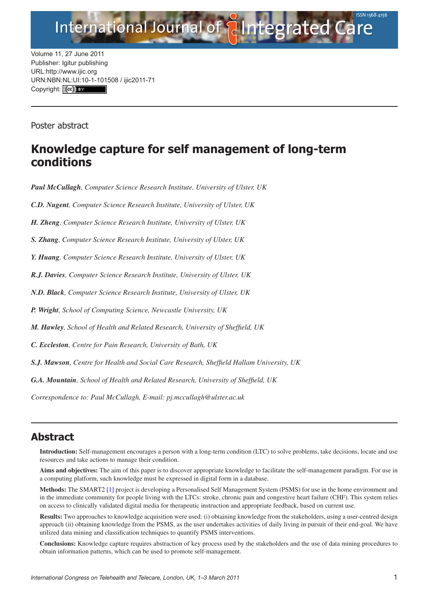

Volume 11, 27 June 2011 Publisher: Igitur publishing URL[:http://www.ijic.org](mailto:http://www.ijic.org) URN:NBN[:NL:UI:10-1-1015](http://creativecommons.org/licenses/by/3.0/)08 / ijic2011-71 Copyright: (cc)

Poster abstract

## **Knowledge capture for self management of long-term conditions**

*Paul McCullagh, Computer Science Research Institute, University of Ulster, UK*

*C.D. Nugent, Computer Science Research Institute, University of Ulster, UK*

*H. Zheng, Computer Science Research Institute, University of Ulster, UK*

*S. Zhang, Computer Science Research Institute, University of Ulster, UK*

*Y. Huang, Computer Science Research Institute, University of Ulster, UK*

*R.J. Davies, Computer Science Research Institute, University of Ulster, UK*

*N.D. Black, Computer Science Research Institute, University of Ulster, UK*

*P. Wright, School of Computing Science, Newcastle University, UK*

*M. Hawley, School of Health and Related Research, University of Sheffield, UK*

*C. Eccleston, Centre for Pain Research, University of Bath, UK*

*S.J. Mawson, Centre for Health and Social Care Research, Sheffield Hallam University, UK*

*G.A. Mountain, School of Health and Related Research, University of Sheffield, UK*

*Correspondence to: Paul McCullagh, E-mail: [pj.mccullagh@ulster.ac.uk](mailto:pj.mccullagh@ulster.ac.uk)*

## **Abstract**

**Introduction:** Self-management encourages a person with a long-term condition (LTC) to solve problems, take decisions, locate and use resources and take actions to manage their condition.

**Aims and objectives:** The aim of this paper is to discover appropriate knowledge to facilitate the self-management paradigm. For use in a computing platform, such knowledge must be expressed in digital form in a database.

**Methods:** The SMART2 [\[1\]](#page-1-0) project is developing a Personalised Self Management System (PSMS) for use in the home environment and in the immediate community for people living with the LTCs: stroke, chronic pain and congestive heart failure (CHF). This system relies on access to clinically validated digital media for therapeutic instruction and appropriate feedback, based on current use.

**Results:** Two approaches to knowledge acquisition were used: (i) obtaining knowledge from the stakeholders, using a user-centred design approach (ii) obtaining knowledge from the PSMS, as the user undertakes activities of daily living in pursuit of their end-goal. We have utilized data mining and classification techniques to quantify PSMS interventions.

**Conclusions:** Knowledge capture requires abstraction of key process used by the stakeholders and the use of data mining procedures to obtain information patterns, which can be used to promote self-management.